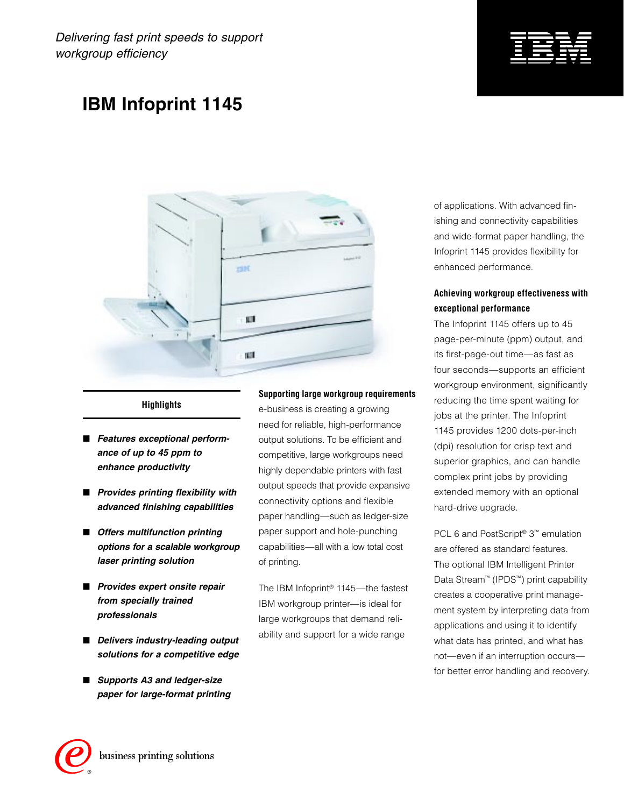Delivering fast print speeds to support workgroup efficiency



## **IBM Infoprint 1145**



#### **Highlights**

- Features exceptional perform**ance of up to 45 ppm to enhance productivity**
- **Provides printing flexibility with advanced finishing capabilities**
- Offers multifunction printing **options for a scalable workgroup laser printing solution**
- Provides expert onsite repair **from specially trained professionals**
- Delivers industry-leading output **solutions for a competitive edge**
- Supports A3 and ledger-size **paper for large-format printing**

#### **Supporting large workgroup requirements**

e-business is creating a growing need for reliable, high-performance output solutions. To be efficient and competitive, large workgroups need highly dependable printers with fast output speeds that provide expansive connectivity options and flexible paper handling—such as ledger-size paper support and hole-punching capabilities—all with a low total cost of printing.

The IBM Infoprint® 1145—the fastest IBM workgroup printer—is ideal for large workgroups that demand reliability and support for a wide range

of applications. With advanced finishing and connectivity capabilities and wide-format paper handling, the Infoprint 1145 provides flexibility for enhanced performance.

## **Achieving workgroup effectiveness with exceptional performance**

The Infoprint 1145 offers up to 45 page-per-minute (ppm) output, and its first-page-out time—as fast as four seconds—supports an efficient workgroup environment, significantly reducing the time spent waiting for jobs at the printer. The Infoprint 1145 provides 1200 dots-per-inch (dpi) resolution for crisp text and superior graphics, and can handle complex print jobs by providing extended memory with an optional hard-drive upgrade.

PCL 6 and PostScript<sup>®</sup> 3<sup>™</sup> emulation are offered as standard features. The optional IBM Intelligent Printer Data Stream™ (IPDS™) print capability creates a cooperative print management system by interpreting data from applications and using it to identify what data has printed, and what has not—even if an interruption occurs for better error handling and recovery.

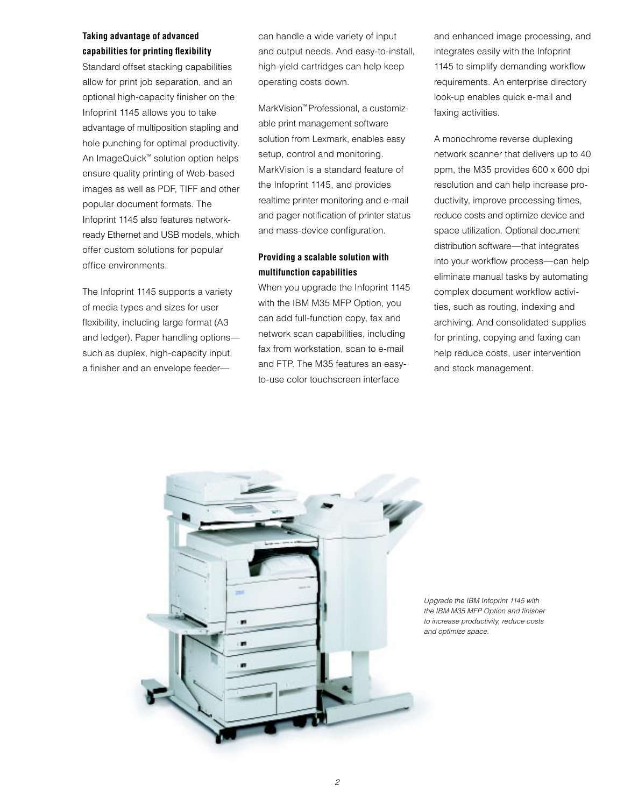### **Taking advantage of advanced capabilities for printing flexibility**

Standard offset stacking capabilities allow for print job separation, and an optional high-capacity finisher on the Infoprint 1145 allows you to take advantage of multiposition stapling and hole punching for optimal productivity. An ImageQuick™ solution option helps ensure quality printing of Web-based images as well as PDF, TIFF and other popular document formats. The Infoprint 1145 also features networkready Ethernet and USB models, which offer custom solutions for popular office environments.

The Infoprint 1145 supports a variety of media types and sizes for user flexibility, including large format (A3 and ledger). Paper handling options such as duplex, high-capacity input, a finisher and an envelope feedercan handle a wide variety of input and output needs. And easy-to-install, high-yield cartridges can help keep operating costs down.

MarkVision™ Professional, a customizable print management software solution from Lexmark, enables easy setup, control and monitoring. MarkVision is a standard feature of the Infoprint 1145, and provides realtime printer monitoring and e-mail and pager notification of printer status and mass-device configuration.

## **Providing a scalable solution with multifunction capabilities**

When you upgrade the Infoprint 1145 with the IBM M35 MFP Option, you can add full-function copy, fax and network scan capabilities, including fax from workstation, scan to e-mail and FTP. The M35 features an easyto-use color touchscreen interface

and enhanced image processing, and integrates easily with the Infoprint 1145 to simplify demanding workflow requirements. An enterprise directory look-up enables quick e-mail and faxing activities.

A monochrome reverse duplexing network scanner that delivers up to 40 ppm, the M35 provides 600 x 600 dpi resolution and can help increase productivity, improve processing times, reduce costs and optimize device and space utilization. Optional document distribution software—that integrates into your workflow process—can help eliminate manual tasks by automating complex document workflow activities, such as routing, indexing and archiving. And consolidated supplies for printing, copying and faxing can help reduce costs, user intervention and stock management.



Upgrade the IBM Infoprint 1145 with the IBM M35 MFP Option and finisher to increase productivity, reduce costs and optimize space.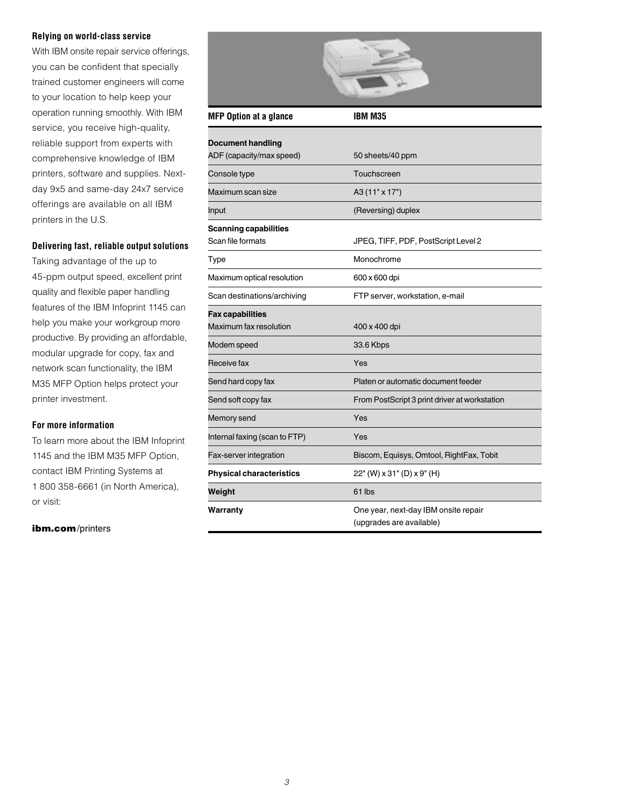#### **Relying on world-class service**

With IBM onsite repair service offerings, you can be confident that specially trained customer engineers will come to your location to help keep your operation running smoothly. With IBM service, you receive high-quality, reliable support from experts with comprehensive knowledge of IBM printers, software and supplies. Nextday 9x5 and same-day 24x7 service offerings are available on all IBM printers in the U.S.

#### **Delivering fast, reliable output solutions**

Taking advantage of the up to 45-ppm output speed, excellent print quality and flexible paper handling features of the IBM Infoprint 1145 can help you make your workgroup more productive. By providing an affordable, modular upgrade for copy, fax and network scan functionality, the IBM M35 MFP Option helps protect your printer investment.

#### **For more information**

To learn more about the IBM Infoprint 1145 and the IBM M35 MFP Option, contact IBM Printing Systems at 1 800 358-6661 (in North America), or visit:

#### [ibm.com](http://www.printers.ibm.com/)/printers

| <b>MFP Option at a glance</b>                        | <b>IBM M35</b>                                                   |
|------------------------------------------------------|------------------------------------------------------------------|
| <b>Document handling</b><br>ADF (capacity/max speed) | 50 sheets/40 ppm                                                 |
| Console type                                         | Touchscreen                                                      |
| Maximum scan size                                    | A3 (11" x 17")                                                   |
| Input                                                | (Reversing) duplex                                               |
| <b>Scanning capabilities</b><br>Scan file formats    | JPEG, TIFF, PDF, PostScript Level 2                              |
| Type                                                 | Monochrome                                                       |
| Maximum optical resolution                           | 600 x 600 dpi                                                    |
| Scan destinations/archiving                          | FTP server, workstation, e-mail                                  |
| Fax capabilities<br>Maximum fax resolution           | 400 x 400 dpi                                                    |
| Modem speed                                          | 33.6 Kbps                                                        |
| Receive fax                                          | Yes                                                              |
| Send hard copy fax                                   | Platen or automatic document feeder                              |
| Send soft copy fax                                   | From PostScript 3 print driver at workstation                    |
| Memory send                                          | Yes                                                              |
| Internal faxing (scan to FTP)                        | Yes                                                              |
| Fax-server integration                               | Biscom, Equisys, Omtool, RightFax, Tobit                         |
| Physical characteristics                             | 22" (W) x 31" (D) x 9" (H)                                       |
| Weight                                               | 61 lbs                                                           |
| Warranty                                             | One year, next-day IBM onsite repair<br>(upgrades are available) |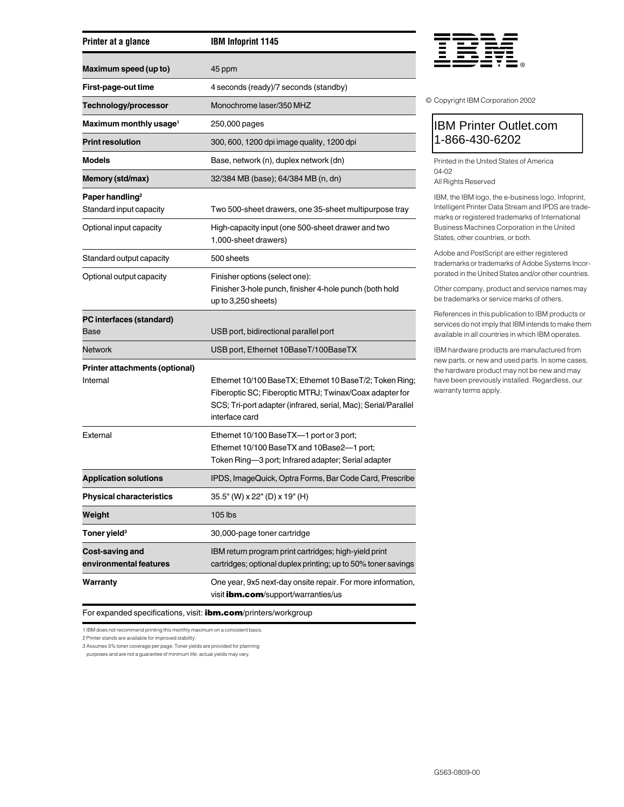| Printer at a glance                        | <b>IBM Infoprint 1145</b>                                                                                                                                                                               |
|--------------------------------------------|---------------------------------------------------------------------------------------------------------------------------------------------------------------------------------------------------------|
| Maximum speed (up to)                      | 45 ppm                                                                                                                                                                                                  |
| First-page-out time                        | 4 seconds (ready)/7 seconds (standby)                                                                                                                                                                   |
| Technology/processor                       | Monochrome laser/350 MHZ                                                                                                                                                                                |
| Maximum monthly usage <sup>1</sup>         | 250,000 pages                                                                                                                                                                                           |
| <b>Print resolution</b>                    | 300, 600, 1200 dpi image quality, 1200 dpi                                                                                                                                                              |
| Models                                     | Base, network (n), duplex network (dn)                                                                                                                                                                  |
| Memory (std/max)                           | 32/384 MB (base); 64/384 MB (n, dn)                                                                                                                                                                     |
| Paper handling <sup>2</sup>                |                                                                                                                                                                                                         |
| Standard input capacity                    | Two 500-sheet drawers, one 35-sheet multipurpose tray                                                                                                                                                   |
| Optional input capacity                    | High-capacity input (one 500-sheet drawer and two<br>1,000-sheet drawers)                                                                                                                               |
| Standard output capacity                   | 500 sheets                                                                                                                                                                                              |
| Optional output capacity                   | Finisher options (select one):<br>Finisher 3-hole punch, finisher 4-hole punch (both hold<br>up to 3,250 sheets)                                                                                        |
| PC interfaces (standard)<br>Base           | USB port, bidirectional parallel port                                                                                                                                                                   |
| <b>Network</b>                             | USB port, Ethernet 10BaseT/100BaseTX                                                                                                                                                                    |
| Printer attachments (optional)<br>Internal | Ethernet 10/100 BaseTX; Ethernet 10 BaseT/2; Token Ring;<br>Fiberoptic SC; Fiberoptic MTRJ; Twinax/Coax adapter for<br>SCS; Tri-port adapter (infrared, serial, Mac); Serial/Parallel<br>interface card |
| External                                   | Ethernet 10/100 BaseTX-1 port or 3 port;<br>Ethernet 10/100 BaseTX and 10Base2-1 port;<br>Token Ring-3 port; Infrared adapter; Serial adapter                                                           |
| <b>Application solutions</b>               | IPDS, ImageQuick, Optra Forms, Bar Code Card, Prescribe                                                                                                                                                 |
| <b>Physical characteristics</b>            | 35.5" (W) x 22" (D) x 19" (H)                                                                                                                                                                           |
| Weight                                     | 105 lbs                                                                                                                                                                                                 |
| Toner yield <sup>3</sup>                   | 30,000-page toner cartridge                                                                                                                                                                             |
| Cost-saving and<br>environmental features  | IBM return program print cartridges; high-yield print<br>cartridges; optional duplex printing; up to 50% toner savings                                                                                  |
| Warranty                                   | One year, 9x5 next-day onsite repair. For more information,<br>visit <i>ibm.com/support/warranties/us</i>                                                                                               |



© Copyright IBM Corporation 2002

## IBM Printer Outlet.com 1-866-430-6202

Printed in the United States of America 04-02 All Rights Reserved

IBM, the IBM logo, the e-business logo, Infoprint, Intelligent Printer Data Stream and IPDS are trademarks or registered trademarks of International Business Machines Corporation in the United States, other countries, or both.

Adobe and PostScript are either registered trademarks or trademarks of Adobe Systems Incorporated in the United States and/or other countries.

Other company, product and service names may be trademarks or service marks of others.

References in this publication to IBM products or services do not imply that IBM intends to make them available in all countries in which IBM operates.

IBM hardware products are manufactured from new parts, or new and used parts. In some cases, the hardware product may not be new and may have been previously installed. Regardless, our warranty terms apply.

For expanded specifications, visit: **ibm.com**[/printers/workgroup](http://www.printers.ibm.com/R5PSC.NSF/Web/wgphome)

1 IBM does not recommend printing this monthly maximum on a consistent basis.

2 Printer stands are available for improved stability.

3 Assumes 5% toner coverage per page. Toner yields are provided for planning

purposes and are not a guarantee of minimum life; actual yields may vary.